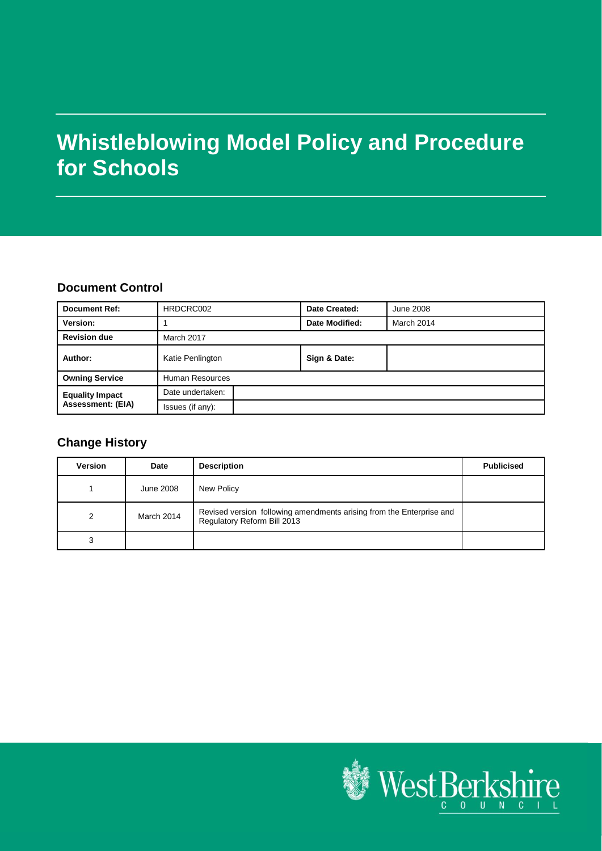# **Whistleblowing Model Policy and Procedure for Schools**

#### **Document Control**

| <b>Document Ref:</b>     | HRDCRC002        | Date Created:  | <b>June 2008</b> |
|--------------------------|------------------|----------------|------------------|
| Version:                 |                  | Date Modified: | March 2014       |
| <b>Revision due</b>      | March 2017       |                |                  |
| Author:                  | Katie Penlington | Sign & Date:   |                  |
| <b>Owning Service</b>    | Human Resources  |                |                  |
| <b>Equality Impact</b>   | Date undertaken: |                |                  |
| <b>Assessment: (EIA)</b> | Issues (if any): |                |                  |

# **Change History**

| <b>Version</b> | Date       | <b>Description</b>                                                                                  | <b>Publicised</b> |
|----------------|------------|-----------------------------------------------------------------------------------------------------|-------------------|
|                | June 2008  | New Policy                                                                                          |                   |
| 2              | March 2014 | Revised version following amendments arising from the Enterprise and<br>Regulatory Reform Bill 2013 |                   |
|                |            |                                                                                                     |                   |

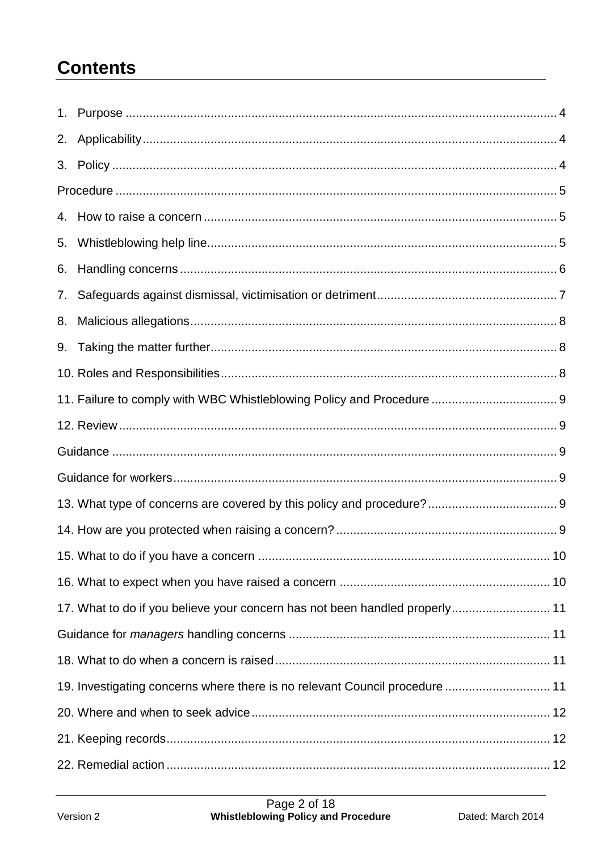# **Contents**

| 2. |                                                                             |  |
|----|-----------------------------------------------------------------------------|--|
|    |                                                                             |  |
|    |                                                                             |  |
|    |                                                                             |  |
| 5. |                                                                             |  |
| 6. |                                                                             |  |
| 7. |                                                                             |  |
| 8. |                                                                             |  |
|    |                                                                             |  |
|    |                                                                             |  |
|    |                                                                             |  |
|    |                                                                             |  |
|    |                                                                             |  |
|    |                                                                             |  |
|    |                                                                             |  |
|    |                                                                             |  |
|    |                                                                             |  |
|    |                                                                             |  |
|    |                                                                             |  |
|    | 17. What to do if you believe your concern has not been handled properly 11 |  |
|    |                                                                             |  |
|    |                                                                             |  |
|    | 19. Investigating concerns where there is no relevant Council procedure  11 |  |
|    |                                                                             |  |
|    |                                                                             |  |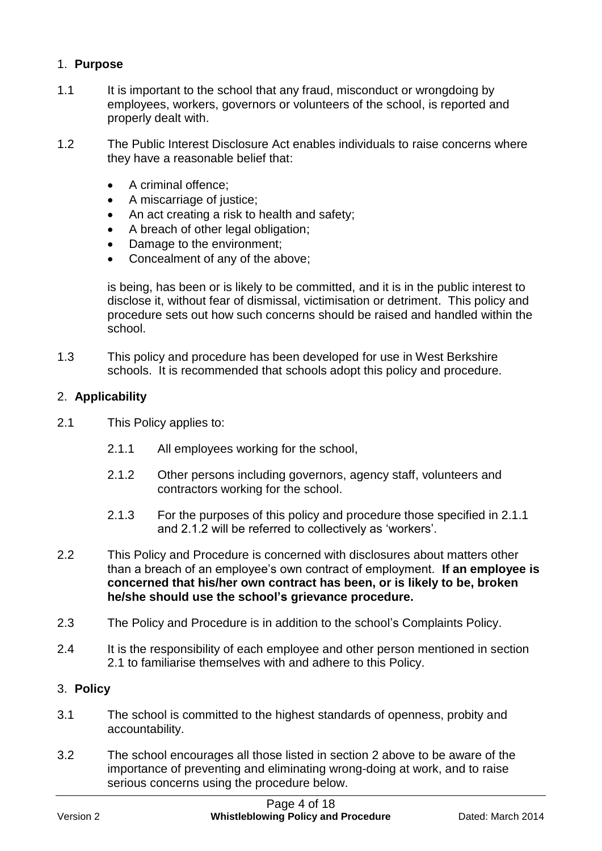# 1. **Purpose**

- 1.1 It is important to the school that any fraud, misconduct or wrongdoing by employees, workers, governors or volunteers of the school, is reported and properly dealt with.
- 1.2 The Public Interest Disclosure Act enables individuals to raise concerns where they have a reasonable belief that:
	- A criminal offence:
	- A miscarriage of justice;
	- An act creating a risk to health and safety;
	- A breach of other legal obligation;
	- Damage to the environment;
	- Concealment of any of the above;

is being, has been or is likely to be committed, and it is in the public interest to disclose it, without fear of dismissal, victimisation or detriment. This policy and procedure sets out how such concerns should be raised and handled within the school.

1.3 This policy and procedure has been developed for use in West Berkshire schools. It is recommended that schools adopt this policy and procedure.

# 2. **Applicability**

- 2.1 This Policy applies to:
	- 2.1.1 All employees working for the school,
	- 2.1.2 Other persons including governors, agency staff, volunteers and contractors working for the school.
	- 2.1.3 For the purposes of this policy and procedure those specified in 2.1.1 and 2.1.2 will be referred to collectively as 'workers'.
- 2.2 This Policy and Procedure is concerned with disclosures about matters other than a breach of an employee's own contract of employment. **If an employee is concerned that his/her own contract has been, or is likely to be, broken he/she should use the school's grievance procedure.**
- 2.3 The Policy and Procedure is in addition to the school's Complaints Policy.
- 2.4 It is the responsibility of each employee and other person mentioned in section 2.1 to familiarise themselves with and adhere to this Policy.

# 3. **Policy**

- 3.1 The school is committed to the highest standards of openness, probity and accountability.
- 3.2 The school encourages all those listed in section 2 above to be aware of the importance of preventing and eliminating wrong-doing at work, and to raise serious concerns using the procedure below.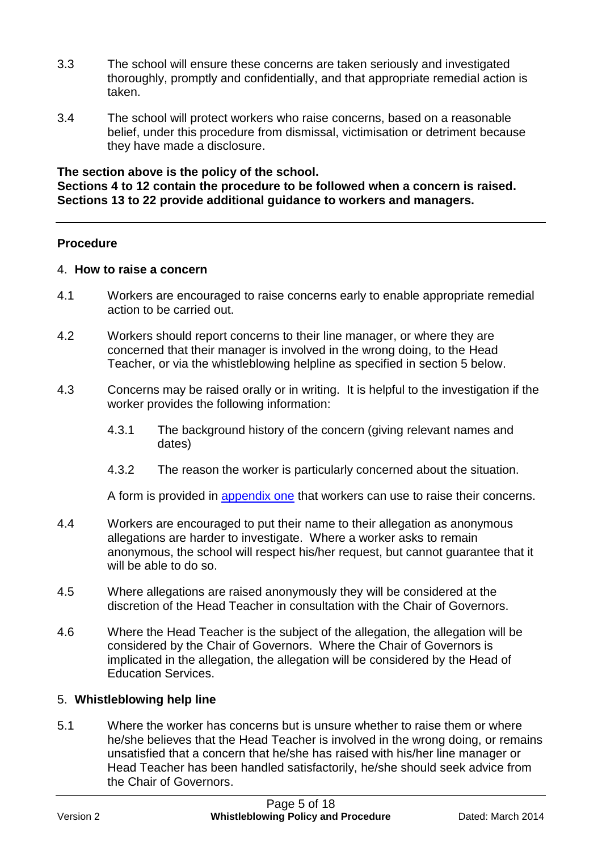- 3.3 The school will ensure these concerns are taken seriously and investigated thoroughly, promptly and confidentially, and that appropriate remedial action is taken.
- 3.4 The school will protect workers who raise concerns, based on a reasonable belief, under this procedure from dismissal, victimisation or detriment because they have made a disclosure.

**The section above is the policy of the school. Sections 4 to 12 contain the procedure to be followed when a concern is raised. Sections 13 to 22 provide additional guidance to workers and managers.**

#### **Procedure**

#### 4. **How to raise a concern**

- 4.1 Workers are encouraged to raise concerns early to enable appropriate remedial action to be carried out.
- 4.2 Workers should report concerns to their line manager, or where they are concerned that their manager is involved in the wrong doing, to the Head Teacher, or via the whistleblowing helpline as specified in section 5 below.
- 4.3 Concerns may be raised orally or in writing. It is helpful to the investigation if the worker provides the following information:
	- 4.3.1 The background history of the concern (giving relevant names and dates)
	- 4.3.2 The reason the worker is particularly concerned about the situation.

A form is provided in [appendix one](#page-12-0) that workers can use to raise their concerns.

- 4.4 Workers are encouraged to put their name to their allegation as anonymous allegations are harder to investigate. Where a worker asks to remain anonymous, the school will respect his/her request, but cannot guarantee that it will be able to do so.
- 4.5 Where allegations are raised anonymously they will be considered at the discretion of the Head Teacher in consultation with the Chair of Governors.
- 4.6 Where the Head Teacher is the subject of the allegation, the allegation will be considered by the Chair of Governors. Where the Chair of Governors is implicated in the allegation, the allegation will be considered by the Head of Education Services.

#### 5. **Whistleblowing help line**

5.1 Where the worker has concerns but is unsure whether to raise them or where he/she believes that the Head Teacher is involved in the wrong doing, or remains unsatisfied that a concern that he/she has raised with his/her line manager or Head Teacher has been handled satisfactorily, he/she should seek advice from the Chair of Governors.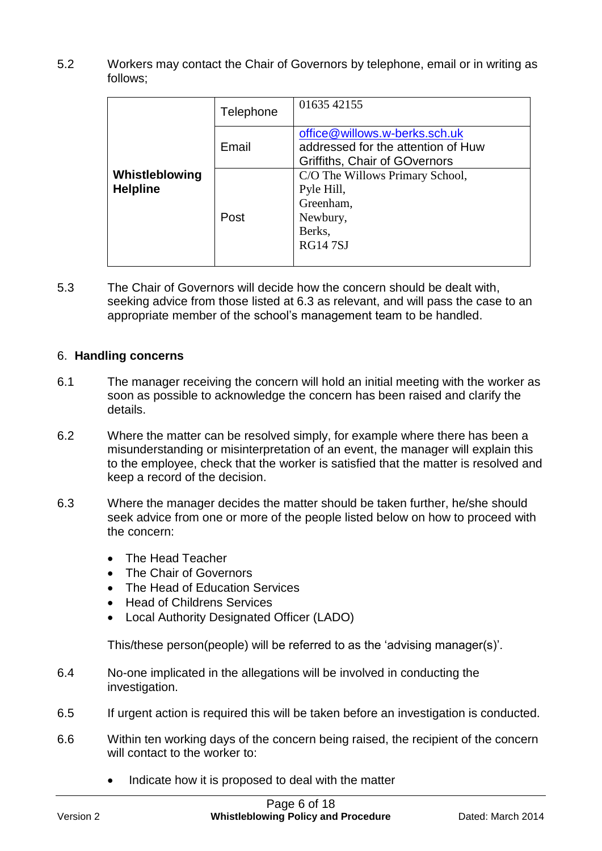5.2 Workers may contact the Chair of Governors by telephone, email or in writing as follows;

|                                   | Telephone | 01635 42155                                                                                          |
|-----------------------------------|-----------|------------------------------------------------------------------------------------------------------|
|                                   | Email     | office@willows.w-berks.sch.uk<br>addressed for the attention of Huw<br>Griffiths, Chair of GOvernors |
| Whistleblowing<br><b>Helpline</b> | Post      | C/O The Willows Primary School,<br>Pyle Hill,<br>Greenham,<br>Newbury,<br>Berks,<br><b>RG147SJ</b>   |

5.3 The Chair of Governors will decide how the concern should be dealt with, seeking advice from those listed at 6.3 as relevant, and will pass the case to an appropriate member of the school's management team to be handled.

#### 6. **Handling concerns**

- 6.1 The manager receiving the concern will hold an initial meeting with the worker as soon as possible to acknowledge the concern has been raised and clarify the details.
- 6.2 Where the matter can be resolved simply, for example where there has been a misunderstanding or misinterpretation of an event, the manager will explain this to the employee, check that the worker is satisfied that the matter is resolved and keep a record of the decision.
- 6.3 Where the manager decides the matter should be taken further, he/she should seek advice from one or more of the people listed below on how to proceed with the concern:
	- The Head Teacher
	- The Chair of Governors
	- The Head of Education Services
	- Head of Childrens Services
	- Local Authority Designated Officer (LADO)

This/these person(people) will be referred to as the 'advising manager(s)'.

- 6.4 No-one implicated in the allegations will be involved in conducting the investigation.
- 6.5 If urgent action is required this will be taken before an investigation is conducted.
- 6.6 Within ten working days of the concern being raised, the recipient of the concern will contact to the worker to:
	- Indicate how it is proposed to deal with the matter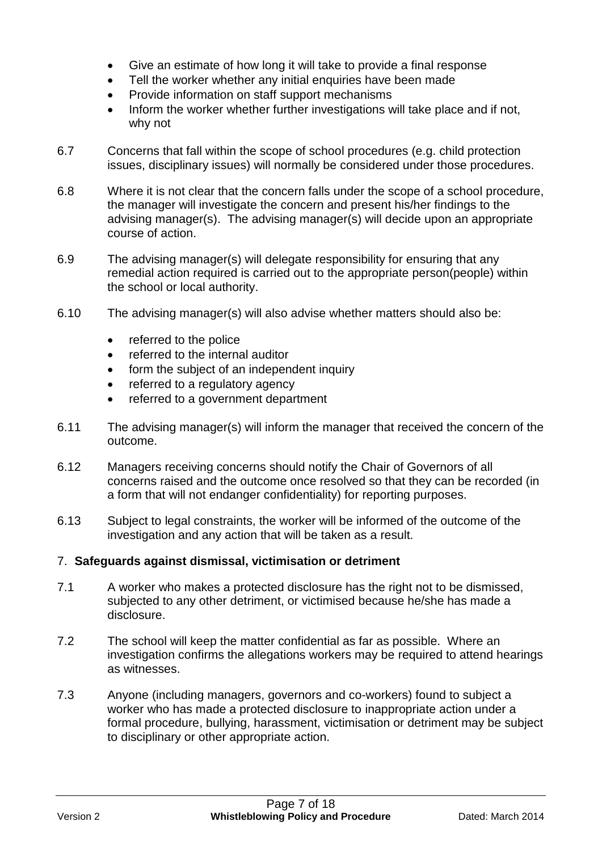- Give an estimate of how long it will take to provide a final response
- Tell the worker whether any initial enquiries have been made
- Provide information on staff support mechanisms
- Inform the worker whether further investigations will take place and if not, why not
- 6.7 Concerns that fall within the scope of school procedures (e.g. child protection issues, disciplinary issues) will normally be considered under those procedures.
- 6.8 Where it is not clear that the concern falls under the scope of a school procedure, the manager will investigate the concern and present his/her findings to the advising manager(s). The advising manager(s) will decide upon an appropriate course of action.
- 6.9 The advising manager(s) will delegate responsibility for ensuring that any remedial action required is carried out to the appropriate person(people) within the school or local authority.
- 6.10 The advising manager(s) will also advise whether matters should also be:
	- referred to the police
	- referred to the internal auditor
	- form the subject of an independent inquiry
	- referred to a regulatory agency
	- referred to a government department
- 6.11 The advising manager(s) will inform the manager that received the concern of the outcome.
- 6.12 Managers receiving concerns should notify the Chair of Governors of all concerns raised and the outcome once resolved so that they can be recorded (in a form that will not endanger confidentiality) for reporting purposes.
- 6.13 Subject to legal constraints, the worker will be informed of the outcome of the investigation and any action that will be taken as a result.

#### 7. **Safeguards against dismissal, victimisation or detriment**

- 7.1 A worker who makes a protected disclosure has the right not to be dismissed, subjected to any other detriment, or victimised because he/she has made a disclosure.
- 7.2 The school will keep the matter confidential as far as possible. Where an investigation confirms the allegations workers may be required to attend hearings as witnesses.
- 7.3 Anyone (including managers, governors and co-workers) found to subject a worker who has made a protected disclosure to inappropriate action under a formal procedure, bullying, harassment, victimisation or detriment may be subject to disciplinary or other appropriate action.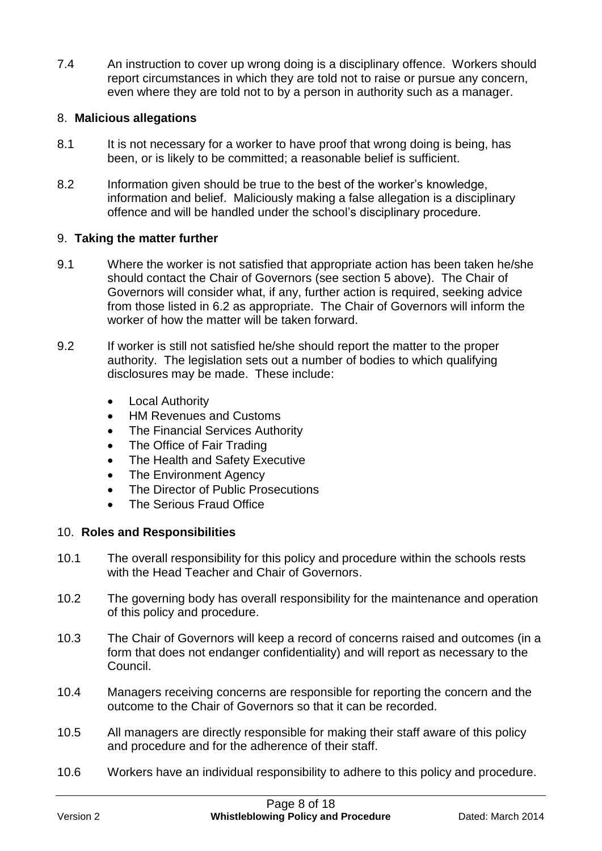7.4 An instruction to cover up wrong doing is a disciplinary offence. Workers should report circumstances in which they are told not to raise or pursue any concern, even where they are told not to by a person in authority such as a manager.

### 8. **Malicious allegations**

- 8.1 It is not necessary for a worker to have proof that wrong doing is being, has been, or is likely to be committed; a reasonable belief is sufficient.
- 8.2 Information given should be true to the best of the worker's knowledge, information and belief. Maliciously making a false allegation is a disciplinary offence and will be handled under the school's disciplinary procedure.

#### 9. **Taking the matter further**

- 9.1 Where the worker is not satisfied that appropriate action has been taken he/she should contact the Chair of Governors (see section 5 above). The Chair of Governors will consider what, if any, further action is required, seeking advice from those listed in 6.2 as appropriate. The Chair of Governors will inform the worker of how the matter will be taken forward.
- 9.2 If worker is still not satisfied he/she should report the matter to the proper authority. The legislation sets out a number of bodies to which qualifying disclosures may be made. These include:
	- Local Authority
	- HM Revenues and Customs
	- The Financial Services Authority
	- The Office of Fair Trading
	- The Health and Safety Executive
	- The Environment Agency
	- The Director of Public Prosecutions
	- The Serious Fraud Office

# 10. **Roles and Responsibilities**

- 10.1 The overall responsibility for this policy and procedure within the schools rests with the Head Teacher and Chair of Governors.
- 10.2 The governing body has overall responsibility for the maintenance and operation of this policy and procedure.
- 10.3 The Chair of Governors will keep a record of concerns raised and outcomes (in a form that does not endanger confidentiality) and will report as necessary to the Council.
- 10.4 Managers receiving concerns are responsible for reporting the concern and the outcome to the Chair of Governors so that it can be recorded.
- 10.5 All managers are directly responsible for making their staff aware of this policy and procedure and for the adherence of their staff.
- 10.6 Workers have an individual responsibility to adhere to this policy and procedure.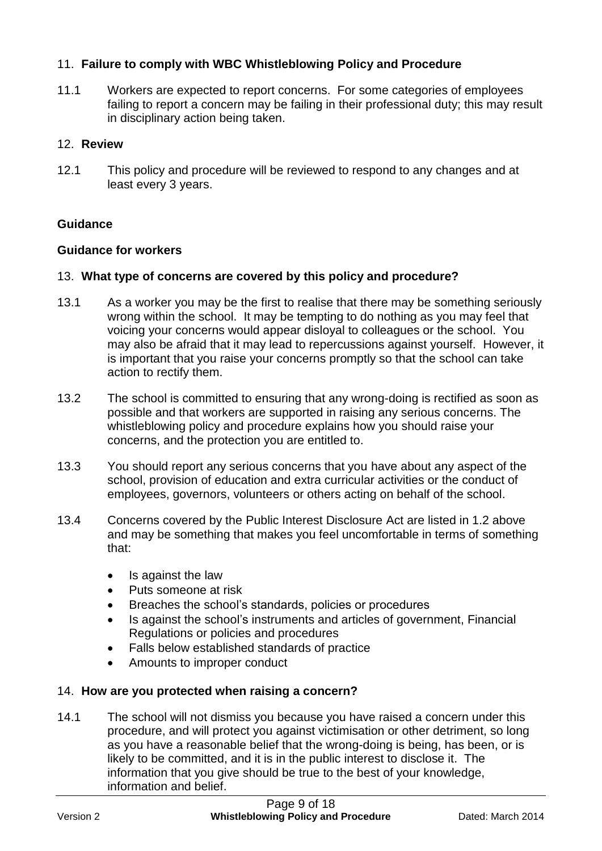# 11. **Failure to comply with WBC Whistleblowing Policy and Procedure**

11.1 Workers are expected to report concerns. For some categories of employees failing to report a concern may be failing in their professional duty; this may result in disciplinary action being taken.

### 12. **Review**

12.1 This policy and procedure will be reviewed to respond to any changes and at least every 3 years.

# **Guidance**

#### **Guidance for workers**

#### 13. **What type of concerns are covered by this policy and procedure?**

- 13.1 As a worker you may be the first to realise that there may be something seriously wrong within the school. It may be tempting to do nothing as you may feel that voicing your concerns would appear disloyal to colleagues or the school. You may also be afraid that it may lead to repercussions against yourself. However, it is important that you raise your concerns promptly so that the school can take action to rectify them.
- 13.2 The school is committed to ensuring that any wrong-doing is rectified as soon as possible and that workers are supported in raising any serious concerns. The whistleblowing policy and procedure explains how you should raise your concerns, and the protection you are entitled to.
- 13.3 You should report any serious concerns that you have about any aspect of the school, provision of education and extra curricular activities or the conduct of employees, governors, volunteers or others acting on behalf of the school.
- 13.4 Concerns covered by the Public Interest Disclosure Act are listed in 1.2 above and may be something that makes you feel uncomfortable in terms of something that:
	- Is against the law
	- Puts someone at risk
	- Breaches the school's standards, policies or procedures
	- Is against the school's instruments and articles of government, Financial Regulations or policies and procedures
	- Falls below established standards of practice
	- Amounts to improper conduct

# 14. **How are you protected when raising a concern?**

14.1 The school will not dismiss you because you have raised a concern under this procedure, and will protect you against victimisation or other detriment, so long as you have a reasonable belief that the wrong-doing is being, has been, or is likely to be committed, and it is in the public interest to disclose it. The information that you give should be true to the best of your knowledge, information and belief.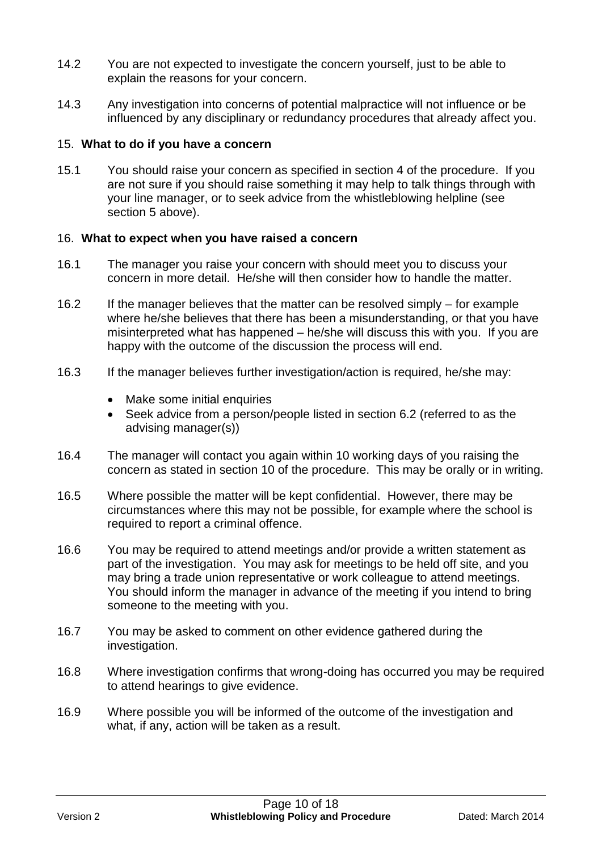- 14.2 You are not expected to investigate the concern yourself, just to be able to explain the reasons for your concern.
- 14.3 Any investigation into concerns of potential malpractice will not influence or be influenced by any disciplinary or redundancy procedures that already affect you.

#### 15. **What to do if you have a concern**

15.1 You should raise your concern as specified in section 4 of the procedure. If you are not sure if you should raise something it may help to talk things through with your line manager, or to seek advice from the whistleblowing helpline (see section 5 above).

#### 16. **What to expect when you have raised a concern**

- 16.1 The manager you raise your concern with should meet you to discuss your concern in more detail. He/she will then consider how to handle the matter.
- 16.2 If the manager believes that the matter can be resolved simply for example where he/she believes that there has been a misunderstanding, or that you have misinterpreted what has happened – he/she will discuss this with you. If you are happy with the outcome of the discussion the process will end.
- 16.3 If the manager believes further investigation/action is required, he/she may:
	- Make some initial enquiries
	- Seek advice from a person/people listed in section 6.2 (referred to as the advising manager(s))
- 16.4 The manager will contact you again within 10 working days of you raising the concern as stated in section 10 of the procedure. This may be orally or in writing.
- 16.5 Where possible the matter will be kept confidential. However, there may be circumstances where this may not be possible, for example where the school is required to report a criminal offence.
- 16.6 You may be required to attend meetings and/or provide a written statement as part of the investigation. You may ask for meetings to be held off site, and you may bring a trade union representative or work colleague to attend meetings. You should inform the manager in advance of the meeting if you intend to bring someone to the meeting with you.
- 16.7 You may be asked to comment on other evidence gathered during the investigation.
- 16.8 Where investigation confirms that wrong-doing has occurred you may be required to attend hearings to give evidence.
- 16.9 Where possible you will be informed of the outcome of the investigation and what, if any, action will be taken as a result.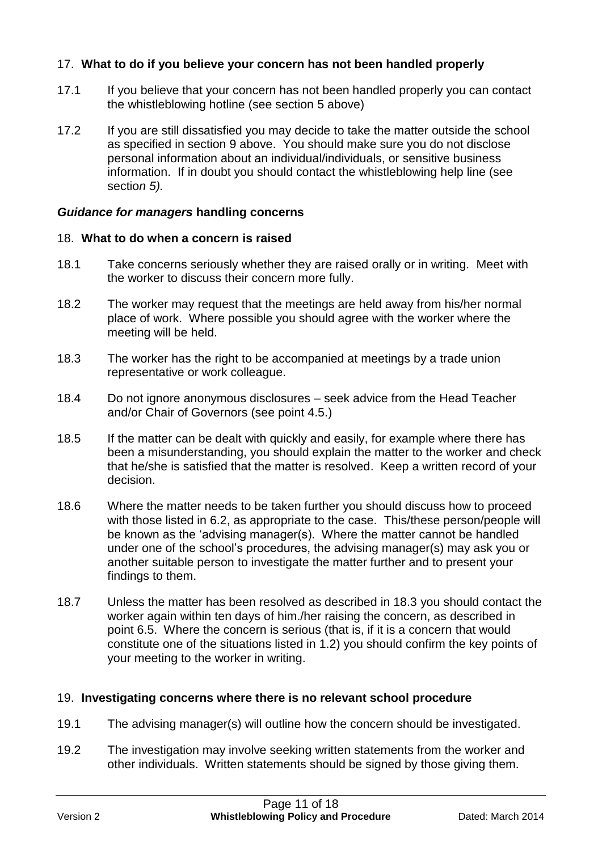# 17. **What to do if you believe your concern has not been handled properly**

- 17.1 If you believe that your concern has not been handled properly you can contact the whistleblowing hotline (see section 5 above)
- 17.2 If you are still dissatisfied you may decide to take the matter outside the school as specified in section 9 above. You should make sure you do not disclose personal information about an individual/individuals, or sensitive business information. If in doubt you should contact the whistleblowing help line (see sectio*n 5).*

#### *Guidance for managers* **handling concerns**

#### 18. **What to do when a concern is raised**

- 18.1 Take concerns seriously whether they are raised orally or in writing. Meet with the worker to discuss their concern more fully.
- 18.2 The worker may request that the meetings are held away from his/her normal place of work. Where possible you should agree with the worker where the meeting will be held.
- 18.3 The worker has the right to be accompanied at meetings by a trade union representative or work colleague.
- 18.4 Do not ignore anonymous disclosures seek advice from the Head Teacher and/or Chair of Governors (see point 4.5.)
- 18.5 If the matter can be dealt with quickly and easily, for example where there has been a misunderstanding, you should explain the matter to the worker and check that he/she is satisfied that the matter is resolved. Keep a written record of your decision.
- 18.6 Where the matter needs to be taken further you should discuss how to proceed with those listed in 6.2, as appropriate to the case. This/these person/people will be known as the 'advising manager(s). Where the matter cannot be handled under one of the school's procedures, the advising manager(s) may ask you or another suitable person to investigate the matter further and to present your findings to them.
- 18.7 Unless the matter has been resolved as described in 18.3 you should contact the worker again within ten days of him./her raising the concern, as described in point 6.5. Where the concern is serious (that is, if it is a concern that would constitute one of the situations listed in 1.2) you should confirm the key points of your meeting to the worker in writing.

# 19. **Investigating concerns where there is no relevant school procedure**

- 19.1 The advising manager(s) will outline how the concern should be investigated.
- 19.2 The investigation may involve seeking written statements from the worker and other individuals. Written statements should be signed by those giving them.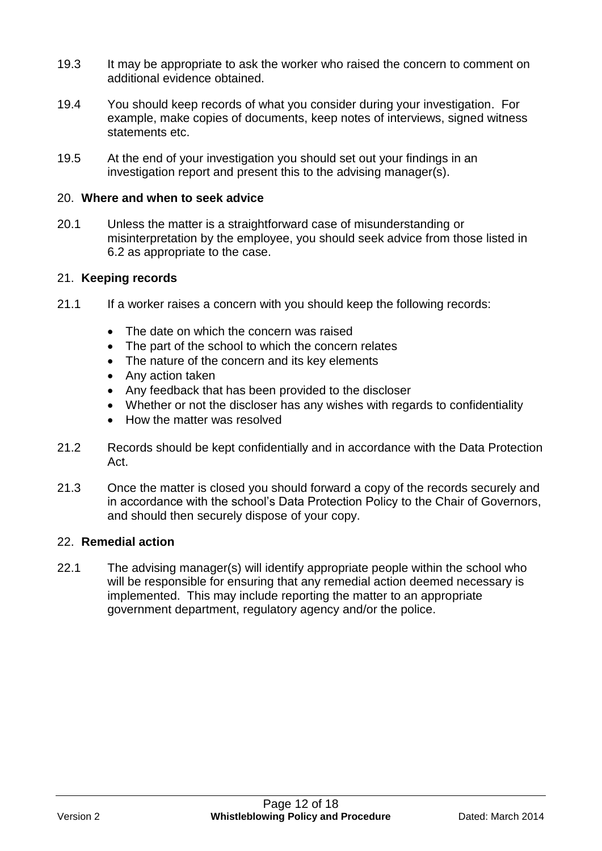- 19.3 It may be appropriate to ask the worker who raised the concern to comment on additional evidence obtained.
- 19.4 You should keep records of what you consider during your investigation. For example, make copies of documents, keep notes of interviews, signed witness statements etc.
- 19.5 At the end of your investigation you should set out your findings in an investigation report and present this to the advising manager(s).

#### 20. **Where and when to seek advice**

20.1 Unless the matter is a straightforward case of misunderstanding or misinterpretation by the employee, you should seek advice from those listed in 6.2 as appropriate to the case.

#### 21. **Keeping records**

- 21.1 If a worker raises a concern with you should keep the following records:
	- The date on which the concern was raised
	- The part of the school to which the concern relates
	- The nature of the concern and its key elements
	- Any action taken
	- Any feedback that has been provided to the discloser
	- Whether or not the discloser has any wishes with regards to confidentiality
	- How the matter was resolved
- 21.2 Records should be kept confidentially and in accordance with the Data Protection Act.
- 21.3 Once the matter is closed you should forward a copy of the records securely and in accordance with the school's Data Protection Policy to the Chair of Governors, and should then securely dispose of your copy.

#### 22. **Remedial action**

22.1 The advising manager(s) will identify appropriate people within the school who will be responsible for ensuring that any remedial action deemed necessary is implemented. This may include reporting the matter to an appropriate government department, regulatory agency and/or the police.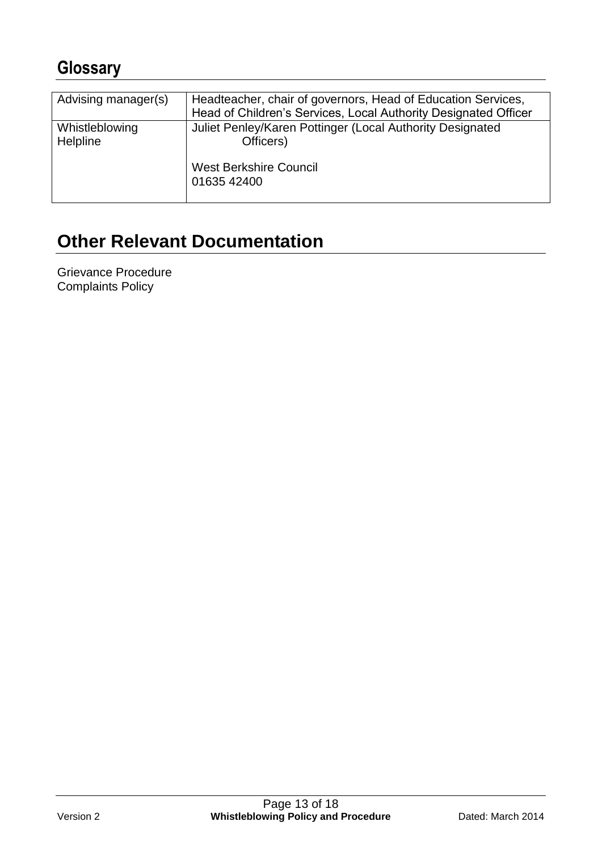# **Glossary**

| Advising manager(s)        | Headteacher, chair of governors, Head of Education Services,           |
|----------------------------|------------------------------------------------------------------------|
|                            | Head of Children's Services, Local Authority Designated Officer        |
| Whistleblowing<br>Helpline | Juliet Penley/Karen Pottinger (Local Authority Designated<br>Officers) |
|                            | <b>West Berkshire Council</b><br>01635 42400                           |

# **Other Relevant Documentation**

<span id="page-12-0"></span>Grievance Procedure Complaints Policy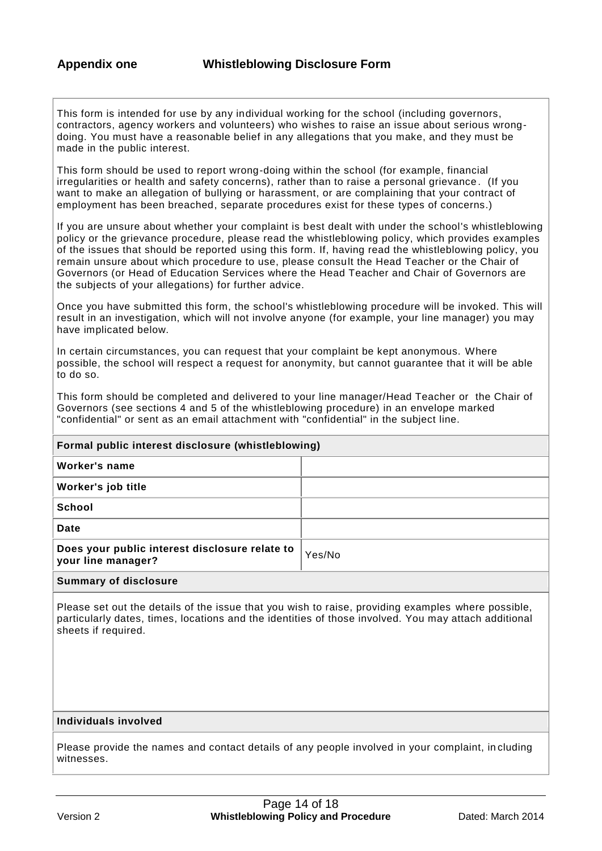This form is intended for use by any individual working for the school (including governors, contractors, agency workers and volunteers) who wishes to raise an issue about serious wrongdoing. You must have a reasonable belief in any allegations that you make, and they must be made in the public interest.

This form should be used to report wrong-doing within the school (for example, financial irregularities or health and safety concerns), rather than to raise a personal grievance . (If you want to make an allegation of bullying or harassment, or are complaining that your contract of employment has been breached, separate procedures exist for these types of concerns.)

If you are unsure about whether your complaint is best dealt with under the school's whistleblowing policy or the grievance procedure, please read the whistleblowing policy, which provides examples of the issues that should be reported using this form. If, having read the whistleblowing policy, you remain unsure about which procedure to use, please consult the Head Teacher or the Chair of Governors (or Head of Education Services where the Head Teacher and Chair of Governors are the subjects of your allegations) for further advice.

Once you have submitted this form, the school's whistleblowing procedure will be invoked. This will result in an investigation, which will not involve anyone (for example, your line manager) you may have implicated below.

In certain circumstances, you can request that your complaint be kept anonymous. Where possible, the school will respect a request for anonymity, but cannot guarantee that it will be able to do so.

This form should be completed and delivered to your line manager/Head Teacher or the Chair of Governors (see sections 4 and 5 of the whistleblowing procedure) in an envelope marked "confidential" or sent as an email attachment with "confidential" in the subject line.

| Formal public interest disclosure (whistleblowing)                   |        |  |
|----------------------------------------------------------------------|--------|--|
| Worker's name                                                        |        |  |
| Worker's job title                                                   |        |  |
| <b>School</b>                                                        |        |  |
| Date                                                                 |        |  |
| Does your public interest disclosure relate to<br>your line manager? | Yes/No |  |
| Ourselves and of distributions                                       |        |  |

### **Summary of disclosure**

Please set out the details of the issue that you wish to raise, providing examples where possible, particularly dates, times, locations and the identities of those involved. You may attach additional sheets if required.

#### **Individuals involved**

Please provide the names and contact details of any people involved in your complaint, in cluding witnesses.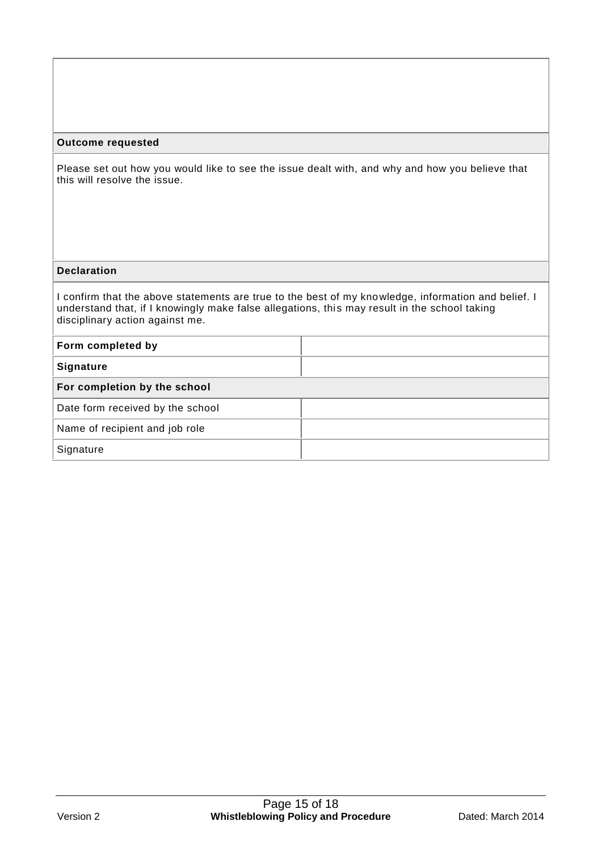#### **Outcome requested**

Please set out how you would like to see the issue dealt with, and why and how you believe that this will resolve the issue.

#### **Declaration**

I confirm that the above statements are true to the best of my knowledge, information and belief. I understand that, if I knowingly make false allegations, this may result in the school taking disciplinary action against me.

| Form completed by                |  |
|----------------------------------|--|
| <b>Signature</b>                 |  |
| For completion by the school     |  |
| Date form received by the school |  |
| Name of recipient and job role   |  |
| Signature                        |  |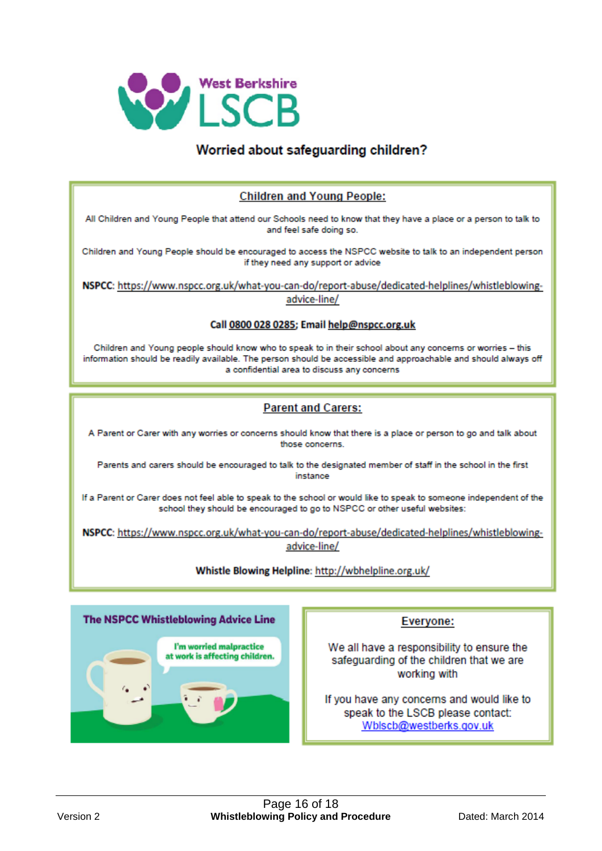

# Worried about safeguarding children?

#### **Children and Young People:**

All Children and Young People that attend our Schools need to know that they have a place or a person to talk to and feel safe doing so.

Children and Young People should be encouraged to access the NSPCC website to talk to an independent person if they need any support or advice

NSPCC: https://www.nspcc.org.uk/what-you-can-do/report-abuse/dedicated-helplines/whistleblowingadvice-line/

#### Call 0800 028 0285; Email help@nspcc.org.uk

Children and Young people should know who to speak to in their school about any concerns or worries - this information should be readily available. The person should be accessible and approachable and should always off a confidential area to discuss any concerns

#### **Parent and Carers:**

A Parent or Carer with any worries or concerns should know that there is a place or person to go and talk about those concerns.

Parents and carers should be encouraged to talk to the designated member of staff in the school in the first instance

If a Parent or Carer does not feel able to speak to the school or would like to speak to someone independent of the school they should be encouraged to go to NSPCC or other useful websites:

NSPCC: https://www.nspcc.org.uk/what-you-can-do/report-abuse/dedicated-helplines/whistleblowingadvice-line/

#### Whistle Blowing Helpline: http://wbhelpline.org.uk/



#### Everyone:

We all have a responsibility to ensure the safeguarding of the children that we are working with

If you have any concerns and would like to speak to the LSCB please contact: Wblscb@westberks.gov.uk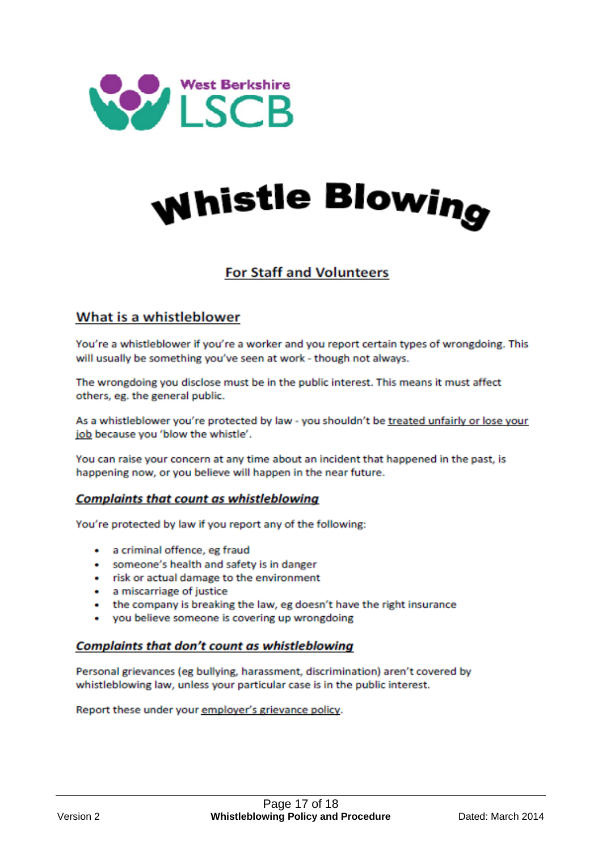

# whistle Blowing

# **For Staff and Volunteers**

# What is a whistleblower

You're a whistleblower if you're a worker and you report certain types of wrongdoing. This will usually be something you've seen at work - though not always.

The wrongdoing you disclose must be in the public interest. This means it must affect others, eg. the general public.

As a whistleblower you're protected by law - you shouldn't be treated unfairly or lose your job because you 'blow the whistle'.

You can raise your concern at any time about an incident that happened in the past, is happening now, or you believe will happen in the near future.

#### **Complaints that count as whistleblowing**

You're protected by law if you report any of the following:

- a criminal offence, eg fraud
- someone's health and safety is in danger
- risk or actual damage to the environment
- a miscarriage of justice
- the company is breaking the law, eg doesn't have the right insurance
- you believe someone is covering up wrongdoing

#### **Complaints that don't count as whistleblowing**

Personal grievances (eg bullying, harassment, discrimination) aren't covered by whistleblowing law, unless your particular case is in the public interest.

Report these under your employer's grievance policy.